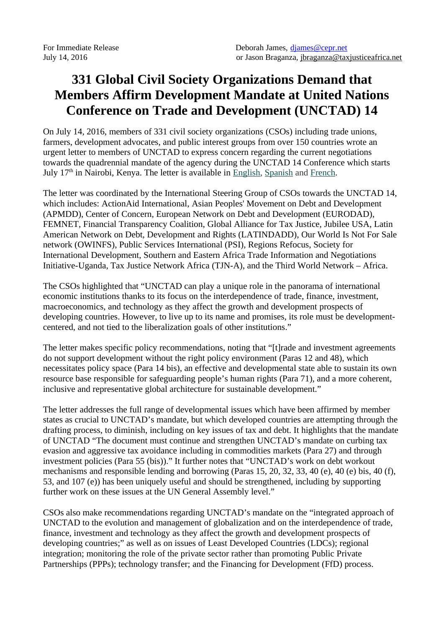## **331 Global Civil Society Organizations Demand that Members Affirm Development Mandate at United Nations Conference on Trade and Development (UNCTAD) 14**

On July 14, 2016, members of 331 civil society organizations (CSOs) including trade unions, farmers, development advocates, and public interest groups from over 150 countries wrote an urgent letter to members of UNCTAD to express concern regarding the current negotiations towards the quadrennial mandate of the agency during the UNCTAD 14 Conference which starts July 17<sup>th</sup> in Nairobi, Kenya. The letter is available in [English](https://csoforffd.files.wordpress.com/2016/07/letter-ngos-to-govts-on-unctad-july-14-2016-eng.pdf), [Spanish](https://csoforffd.files.wordpress.com/2016/07/letter-ngos-to-govts-on-unctad-julio-14-2016-esp.pdf) and [French.](https://csoforffd.files.wordpress.com/2016/07/letter-ngos-to-govts-on-unctad-july-14-2016-fr.pdf)

The letter was coordinated by the International Steering Group of CSOs towards the UNCTAD 14, which includes: ActionAid International, Asian Peoples' Movement on Debt and Development (APMDD), Center of Concern, European Network on Debt and Development (EURODAD), FEMNET, Financial Transparency Coalition, Global Alliance for Tax Justice, Jubilee USA, Latin American Network on Debt, Development and Rights (LATINDADD), Our World Is Not For Sale network (OWINFS), Public Services International (PSI), Regions Refocus, Society for International Development, Southern and Eastern Africa Trade Information and Negotiations Initiative-Uganda, Tax Justice Network Africa (TJN-A), and the Third World Network – Africa.

The CSOs highlighted that "UNCTAD can play a unique role in the panorama of international economic institutions thanks to its focus on the interdependence of trade, finance, investment, macroeconomics, and technology as they affect the growth and development prospects of developing countries. However, to live up to its name and promises, its role must be developmentcentered, and not tied to the liberalization goals of other institutions."

The letter makes specific policy recommendations, noting that "[t]rade and investment agreements do not support development without the right policy environment (Paras 12 and 48), which necessitates policy space (Para 14 bis), an effective and developmental state able to sustain its own resource base responsible for safeguarding people's human rights (Para 71), and a more coherent, inclusive and representative global architecture for sustainable development."

The letter addresses the full range of developmental issues which have been affirmed by member states as crucial to UNCTAD's mandate, but which developed countries are attempting through the drafting process, to diminish, including on key issues of tax and debt. It highlights that the mandate of UNCTAD "The document must continue and strengthen UNCTAD's mandate on curbing tax evasion and aggressive tax avoidance including in commodities markets (Para 27) and through investment policies (Para 55 (bis))." It further notes that "UNCTAD's work on debt workout mechanisms and responsible lending and borrowing (Paras 15, 20, 32, 33, 40 (e), 40 (e) bis, 40 (f), 53, and 107 (e)) has been uniquely useful and should be strengthened, including by supporting further work on these issues at the UN General Assembly level."

CSOs also make recommendations regarding UNCTAD's mandate on the "integrated approach of UNCTAD to the evolution and management of globalization and on the interdependence of trade, finance, investment and technology as they affect the growth and development prospects of developing countries;" as well as on issues of Least Developed Countries (LDCs); regional integration; monitoring the role of the private sector rather than promoting Public Private Partnerships (PPPs); technology transfer; and the Financing for Development (FfD) process.